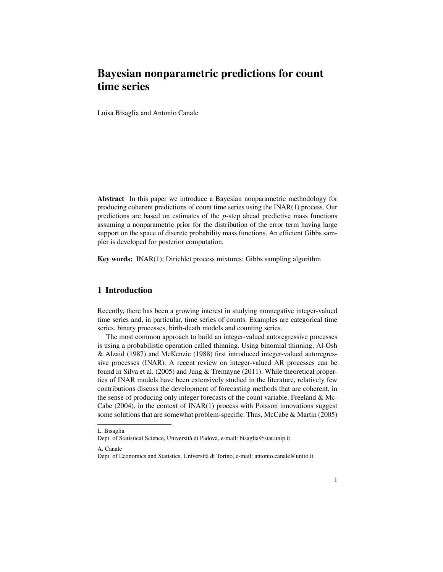# Bayesian nonparametric predictions for count time series

Luisa Bisaglia and Antonio Canale

Abstract In this paper we introduce a Bayesian nonparametric methodology for producing coherent predictions of count time series using the INAR(1) process. Our predictions are based on estimates of the *p*-step ahead predictive mass functions assuming a nonparametric prior for the distribution of the error term having large support on the space of discrete probability mass functions. An efficient Gibbs sampler is developed for posterior computation.

Key words: INAR(1); Dirichlet process mixtures; Gibbs sampling algorithm

# 1 Introduction

Recently, there has been a growing interest in studying nonnegative integer-valued time series and, in particular, time series of counts. Examples are categorical time series, binary processes, birth-death models and counting series.

The most common approach to build an integer-valued autoregressive processes is using a probabilistic operation called thinning. Using binomial thinning, Al-Osh & Alzaid (1987) and McKenzie (1988) first introduced integer-valued autoregressive processes (INAR). A recent review on integer-valued AR processes can be found in Silva et al. (2005) and Jung & Tremayne (2011). While theoretical properties of INAR models have been extensively studied in the literature, relatively few contributions discuss the development of forecasting methods that are coherent, in the sense of producing only integer forecasts of the count variable. Freeland & Mc-Cabe  $(2004)$ , in the context of INAR $(1)$  process with Poisson innovations suggest some solutions that are somewhat problem-specific. Thus, McCabe & Martin (2005)

L. Bisaglia

A. Canale

Dept. of Statistical Science, Universita di Padova, e-mail: bisaglia@stat.unip.it `

Dept. of Economics and Statistics, Universita di Torino, e-mail: antonio.canale@unito.it `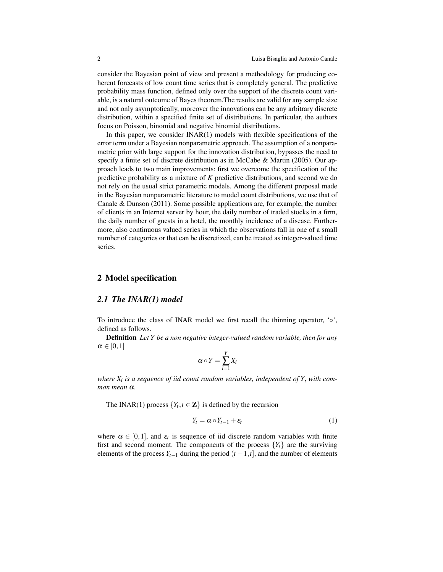consider the Bayesian point of view and present a methodology for producing coherent forecasts of low count time series that is completely general. The predictive probability mass function, defined only over the support of the discrete count variable, is a natural outcome of Bayes theorem.The results are valid for any sample size and not only asymptotically, moreover the innovations can be any arbitrary discrete distribution, within a specified finite set of distributions. In particular, the authors focus on Poisson, binomial and negative binomial distributions.

In this paper, we consider INAR(1) models with flexible specifications of the error term under a Bayesian nonparametric approach. The assumption of a nonparametric prior with large support for the innovation distribution, bypasses the need to specify a finite set of discrete distribution as in McCabe & Martin (2005). Our approach leads to two main improvements: first we overcome the specification of the predictive probability as a mixture of *K* predictive distributions, and second we do not rely on the usual strict parametric models. Among the different proposal made in the Bayesian nonparametric literature to model count distributions, we use that of Canale & Dunson (2011). Some possible applications are, for example, the number of clients in an Internet server by hour, the daily number of traded stocks in a firm, the daily number of guests in a hotel, the monthly incidence of a disease. Furthermore, also continuous valued series in which the observations fall in one of a small number of categories or that can be discretized, can be treated as integer-valued time series.

# 2 Model specification

#### *2.1 The INAR(1) model*

To introduce the class of INAR model we first recall the thinning operator, '◦', defined as follows.

Definition *Let Y be a non negative integer-valued random variable, then for any*  $\alpha \in [0,1]$ 

$$
\alpha \circ Y = \sum_{i=1}^Y X_i
$$

*where X<sup>i</sup> is a sequence of iid count random variables, independent of Y*, *with common mean* α*.*

The INAR(1) process  $\{Y_t; t \in \mathbb{Z}\}\$ is defined by the recursion

$$
Y_t = \alpha \circ Y_{t-1} + \varepsilon_t \tag{1}
$$

where  $\alpha \in [0,1]$ , and  $\varepsilon_t$  is sequence of iid discrete random variables with finite first and second moment. The components of the process  ${Y_t}$  are the surviving elements of the process  $Y_{t-1}$  during the period  $(t-1,t]$ , and the number of elements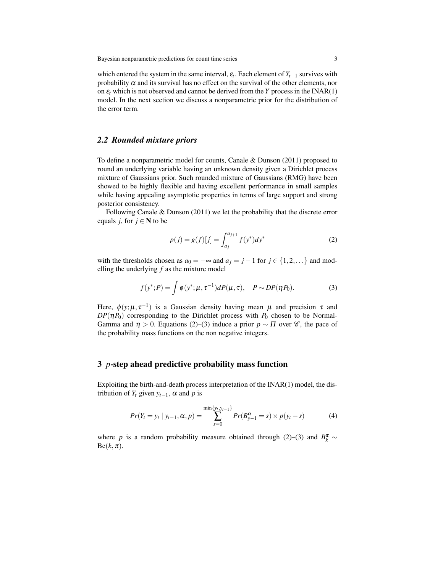which entered the system in the same interval,  $\varepsilon_t$ . Each element of  $Y_{t-1}$  survives with probability  $\alpha$  and its survival has no effect on the survival of the other elements, nor on  $\varepsilon_t$  which is not observed and cannot be derived from the *Y* process in the INAR(1) model. In the next section we discuss a nonparametric prior for the distribution of the error term.

### *2.2 Rounded mixture priors*

To define a nonparametric model for counts, Canale & Dunson (2011) proposed to round an underlying variable having an unknown density given a Dirichlet process mixture of Gaussians prior. Such rounded mixture of Gaussians (RMG) have been showed to be highly flexible and having excellent performance in small samples while having appealing asymptotic properties in terms of large support and strong posterior consistency.

Following Canale & Dunson (2011) we let the probability that the discrete error equals *j*, for  $j \in \mathbb{N}$  to be

$$
p(j) = g(f)[j] = \int_{a_j}^{a_{j+1}} f(y^*) dy^*
$$
 (2)

with the thresholds chosen as  $a_0 = -\infty$  and  $a_j = j - 1$  for  $j \in \{1, 2, ...\}$  and modelling the underlying *f* as the mixture model

$$
f(y^*; P) = \int \phi(y^*; \mu, \tau^{-1}) dP(\mu, \tau), \quad P \sim DP(\eta P_0).
$$
 (3)

Here,  $\phi(y; \mu, \tau^{-1})$  is a Gaussian density having mean  $\mu$  and precision  $\tau$  and  $DP(\eta P_0)$  corresponding to the Dirichlet process with  $P_0$  chosen to be Normal-Gamma and  $\eta > 0$ . Equations (2)–(3) induce a prior  $p \sim \Pi$  over  $\mathscr{C}$ , the pace of the probability mass functions on the non negative integers.

# 3 *p*-step ahead predictive probability mass function

Exploiting the birth-and-death process interpretation of the INAR(1) model, the distribution of  $Y_t$  given  $y_{t-1}$ ,  $\alpha$  and  $p$  is

$$
Pr(Y_t = y_t | y_{t-1}, \alpha, p) = \sum_{s=0}^{\min\{y_t, y_{t-1}\}} Pr(B_{y-1}^{\alpha} = s) \times p(y_t - s)
$$
(4)

where *p* is a random probability measure obtained through (2)–(3) and  $B_k^{\pi} \sim$  $Be(k, \pi)$ .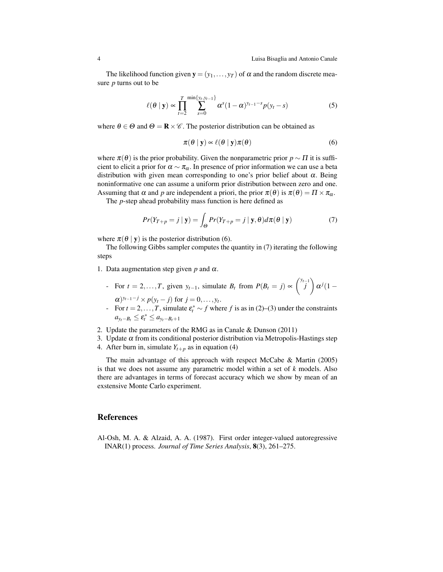The likelihood function given  $\mathbf{y} = (y_1, \dots, y_T)$  of  $\alpha$  and the random discrete measure *p* turns out to be

$$
\ell(\boldsymbol{\theta} \mid \mathbf{y}) \propto \prod_{t=2}^{T} \sum_{s=0}^{\min\{y_t, y_{t-1}\}} \alpha^s (1-\alpha)^{y_{t-1}-s} p(y_t-s)
$$
(5)

where  $\theta \in \Theta$  and  $\Theta = \mathbf{R} \times \mathcal{C}$ . The posterior distribution can be obtained as

$$
\pi(\theta \mid \mathbf{y}) \propto \ell(\theta \mid \mathbf{y}) \pi(\theta) \tag{6}
$$

where  $\pi(\theta)$  is the prior probability. Given the nonparametric prior  $p \sim \Pi$  it is sufficient to elicit a prior for  $\alpha \sim \pi_{\alpha}$ . In presence of prior information we can use a beta distribution with given mean corresponding to one's prior belief about  $\alpha$ . Being noninformative one can assume a uniform prior distribution between zero and one. Assuming that  $\alpha$  and  $p$  are independent a priori, the prior  $\pi(\theta)$  is  $\pi(\theta) = \Pi \times \pi_{\alpha}$ .

The *p*-step ahead probability mass function is here defined as

$$
Pr(Y_{T+p} = j \mid \mathbf{y}) = \int_{\Theta} Pr(Y_{T+p} = j \mid \mathbf{y}, \theta) d\pi(\theta \mid \mathbf{y})
$$
 (7)

where  $\pi(\theta | y)$  is the posterior distribution (6).

The following Gibbs sampler computes the quantity in (7) iterating the following steps

- 1. Data augmentation step given  $p$  and  $\alpha$ .
	- For  $t = 2,...,T$ , given  $y_{t-1}$ , simulate  $B_t$  from  $P(B_t = j) \propto {y_{t-1} \choose j} \alpha^j (1 j)$  $\alpha$ )<sup>*yt*-1<sup>-*j*</sup> × *p*(*y*<sub>*t*</sub> − *j*) for *j* = 0, ..., *y*<sub>*t*</sub>.</sup>
	- *For t* = 2,...,*T*, simulate  $\varepsilon_t^*$  ∼ *f* where *f* is as in (2)–(3) under the constraints  $a_{y_t-B_t} \leq \varepsilon_t^* \leq a_{y_t-B_t+1}$
- 2. Update the parameters of the RMG as in Canale & Dunson (2011)
- 3. Update  $\alpha$  from its conditional posterior distribution via Metropolis-Hastings step
- 4. After burn in, simulate  $Y_{t+p}$  as in equation (4)

The main advantage of this approach with respect McCabe & Martin (2005) is that we does not assume any parametric model within a set of *k* models. Also there are advantages in terms of forecast accuracy which we show by mean of an exstensive Monte Carlo experiment.

# References

Al-Osh, M. A. & Alzaid, A. A. (1987). First order integer-valued autoregressive INAR(1) process. *Journal of Time Series Analysis*, 8(3), 261–275.